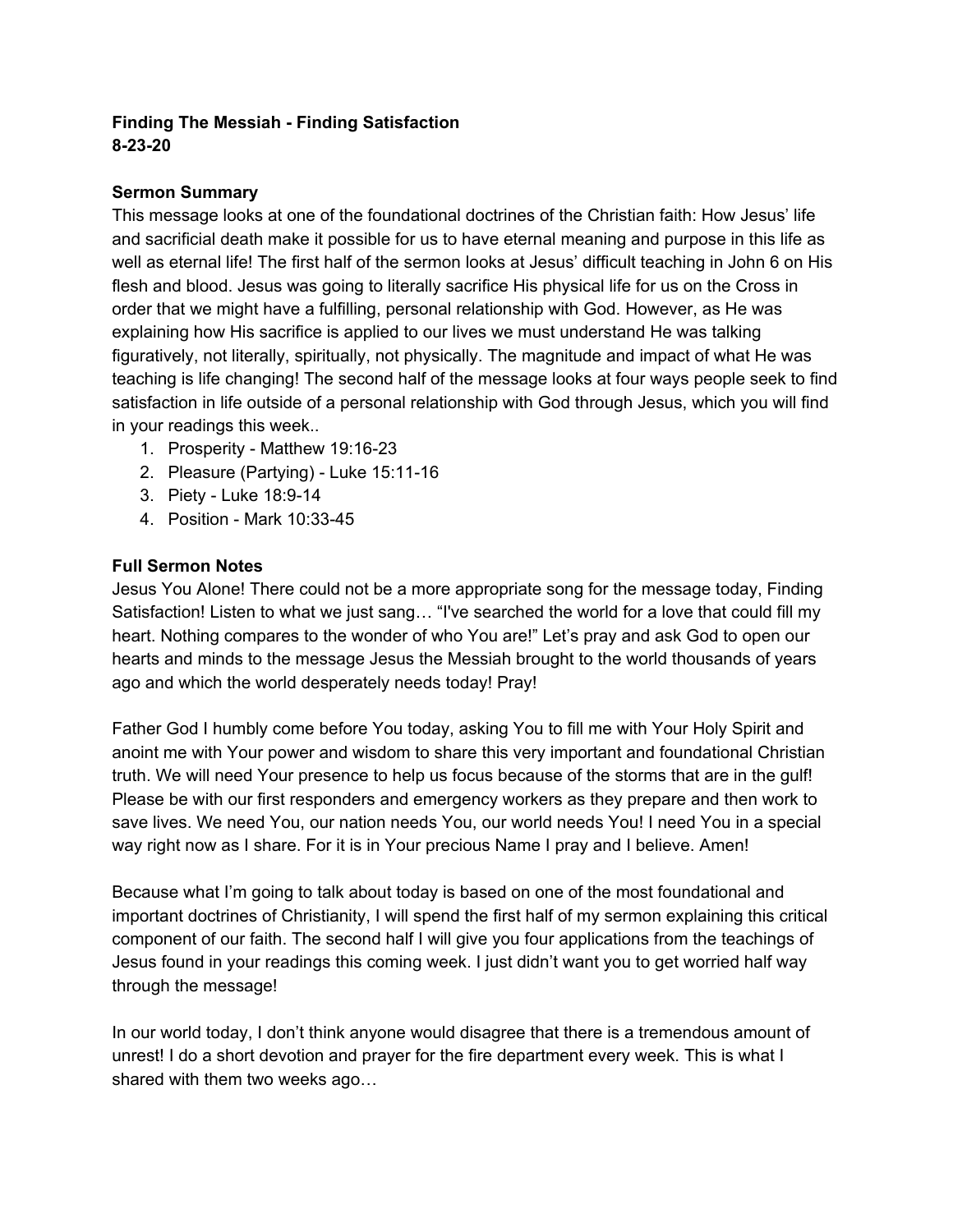### **Finding The Messiah - Finding Satisfaction 8-23-20**

### **Sermon Summary**

This message looks at one of the foundational doctrines of the Christian faith: How Jesus' life and sacrificial death make it possible for us to have eternal meaning and purpose in this life as well as eternal life! The first half of the sermon looks at Jesus' difficult teaching in John 6 on His flesh and blood. Jesus was going to literally sacrifice His physical life for us on the Cross in order that we might have a fulfilling, personal relationship with God. However, as He was explaining how His sacrifice is applied to our lives we must understand He was talking figuratively, not literally, spiritually, not physically. The magnitude and impact of what He was teaching is life changing! The second half of the message looks at four ways people seek to find satisfaction in life outside of a personal relationship with God through Jesus, which you will find in your readings this week..

- 1. Prosperity Matthew 19:16-23
- 2. Pleasure (Partying) Luke 15:11-16
- 3. Piety Luke 18:9-14
- 4. Position Mark 10:33-45

### **Full Sermon Notes**

Jesus You Alone! There could not be a more appropriate song for the message today, Finding Satisfaction! Listen to what we just sang… "I've searched the world for a love that could fill my heart. Nothing compares to the wonder of who You are!" Let's pray and ask God to open our hearts and minds to the message Jesus the Messiah brought to the world thousands of years ago and which the world desperately needs today! Pray!

Father God I humbly come before You today, asking You to fill me with Your Holy Spirit and anoint me with Your power and wisdom to share this very important and foundational Christian truth. We will need Your presence to help us focus because of the storms that are in the gulf! Please be with our first responders and emergency workers as they prepare and then work to save lives. We need You, our nation needs You, our world needs You! I need You in a special way right now as I share. For it is in Your precious Name I pray and I believe. Amen!

Because what I'm going to talk about today is based on one of the most foundational and important doctrines of Christianity, I will spend the first half of my sermon explaining this critical component of our faith. The second half I will give you four applications from the teachings of Jesus found in your readings this coming week. I just didn't want you to get worried half way through the message!

In our world today, I don't think anyone would disagree that there is a tremendous amount of unrest! I do a short devotion and prayer for the fire department every week. This is what I shared with them two weeks ago…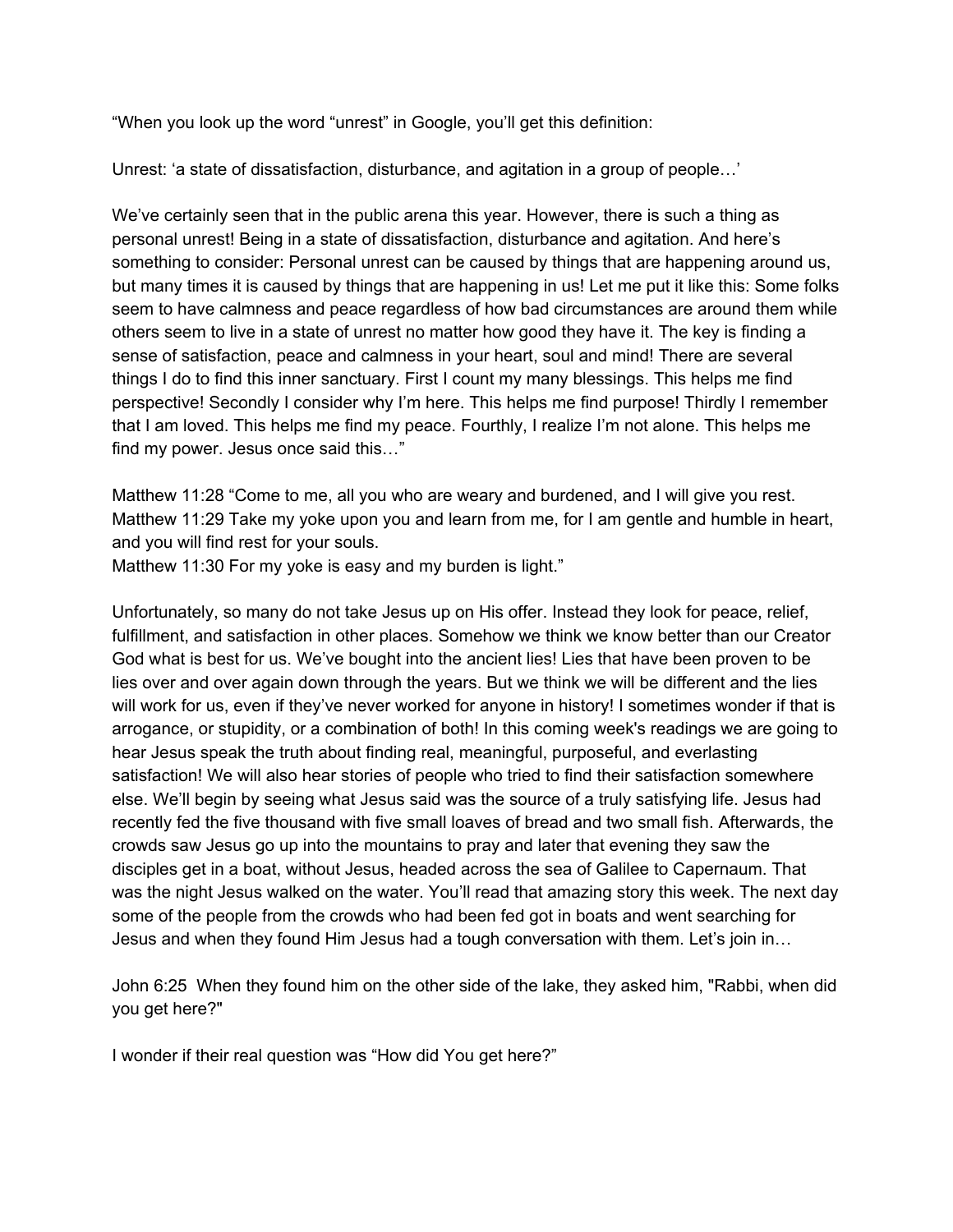"When you look up the word "unrest" in Google, you'll get this definition:

Unrest: 'a state of dissatisfaction, disturbance, and agitation in a group of people…'

We've certainly seen that in the public arena this year. However, there is such a thing as personal unrest! Being in a state of dissatisfaction, disturbance and agitation. And here's something to consider: Personal unrest can be caused by things that are happening around us, but many times it is caused by things that are happening in us! Let me put it like this: Some folks seem to have calmness and peace regardless of how bad circumstances are around them while others seem to live in a state of unrest no matter how good they have it. The key is finding a sense of satisfaction, peace and calmness in your heart, soul and mind! There are several things I do to find this inner sanctuary. First I count my many blessings. This helps me find perspective! Secondly I consider why I'm here. This helps me find purpose! Thirdly I remember that I am loved. This helps me find my peace. Fourthly, I realize I'm not alone. This helps me find my power. Jesus once said this…"

Matthew 11:28 "Come to me, all you who are weary and burdened, and I will give you rest. Matthew 11:29 Take my yoke upon you and learn from me, for I am gentle and humble in heart, and you will find rest for your souls.

Matthew 11:30 For my yoke is easy and my burden is light."

Unfortunately, so many do not take Jesus up on His offer. Instead they look for peace, relief, fulfillment, and satisfaction in other places. Somehow we think we know better than our Creator God what is best for us. We've bought into the ancient lies! Lies that have been proven to be lies over and over again down through the years. But we think we will be different and the lies will work for us, even if they've never worked for anyone in history! I sometimes wonder if that is arrogance, or stupidity, or a combination of both! In this coming week's readings we are going to hear Jesus speak the truth about finding real, meaningful, purposeful, and everlasting satisfaction! We will also hear stories of people who tried to find their satisfaction somewhere else. We'll begin by seeing what Jesus said was the source of a truly satisfying life. Jesus had recently fed the five thousand with five small loaves of bread and two small fish. Afterwards, the crowds saw Jesus go up into the mountains to pray and later that evening they saw the disciples get in a boat, without Jesus, headed across the sea of Galilee to Capernaum. That was the night Jesus walked on the water. You'll read that amazing story this week. The next day some of the people from the crowds who had been fed got in boats and went searching for Jesus and when they found Him Jesus had a tough conversation with them. Let's join in…

John 6:25 When they found him on the other side of the lake, they asked him, "Rabbi, when did you get here?"

I wonder if their real question was "How did You get here?"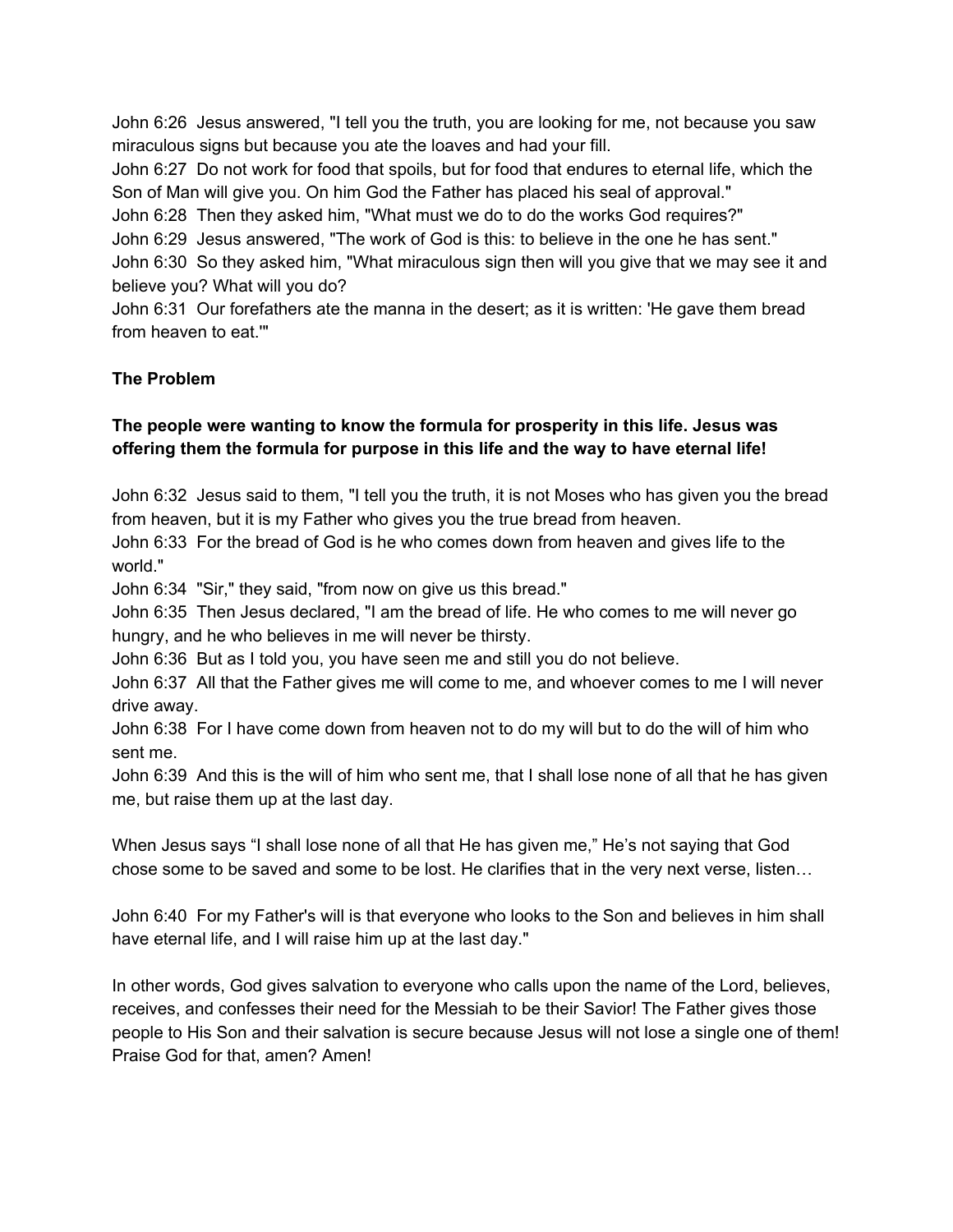John 6:26 Jesus answered, "I tell you the truth, you are looking for me, not because you saw miraculous signs but because you ate the loaves and had your fill.

John 6:27 Do not work for food that spoils, but for food that endures to eternal life, which the Son of Man will give you. On him God the Father has placed his seal of approval."

John 6:28 Then they asked him, "What must we do to do the works God requires?"

John 6:29 Jesus answered, "The work of God is this: to believe in the one he has sent."

John 6:30 So they asked him, "What miraculous sign then will you give that we may see it and believe you? What will you do?

John 6:31 Our forefathers ate the manna in the desert; as it is written: 'He gave them bread from heaven to eat.'"

## **The Problem**

## **The people were wanting to know the formula for prosperity in this life. Jesus was offering them the formula for purpose in this life and the way to have eternal life!**

John 6:32 Jesus said to them, "I tell you the truth, it is not Moses who has given you the bread from heaven, but it is my Father who gives you the true bread from heaven.

John 6:33 For the bread of God is he who comes down from heaven and gives life to the world."

John 6:34 "Sir," they said, "from now on give us this bread."

John 6:35 Then Jesus declared, "I am the bread of life. He who comes to me will never go hungry, and he who believes in me will never be thirsty.

John 6:36 But as I told you, you have seen me and still you do not believe.

John 6:37 All that the Father gives me will come to me, and whoever comes to me I will never drive away.

John 6:38 For I have come down from heaven not to do my will but to do the will of him who sent me.

John 6:39 And this is the will of him who sent me, that I shall lose none of all that he has given me, but raise them up at the last day.

When Jesus says "I shall lose none of all that He has given me," He's not saying that God chose some to be saved and some to be lost. He clarifies that in the very next verse, listen…

John 6:40 For my Father's will is that everyone who looks to the Son and believes in him shall have eternal life, and I will raise him up at the last day."

In other words, God gives salvation to everyone who calls upon the name of the Lord, believes, receives, and confesses their need for the Messiah to be their Savior! The Father gives those people to His Son and their salvation is secure because Jesus will not lose a single one of them! Praise God for that, amen? Amen!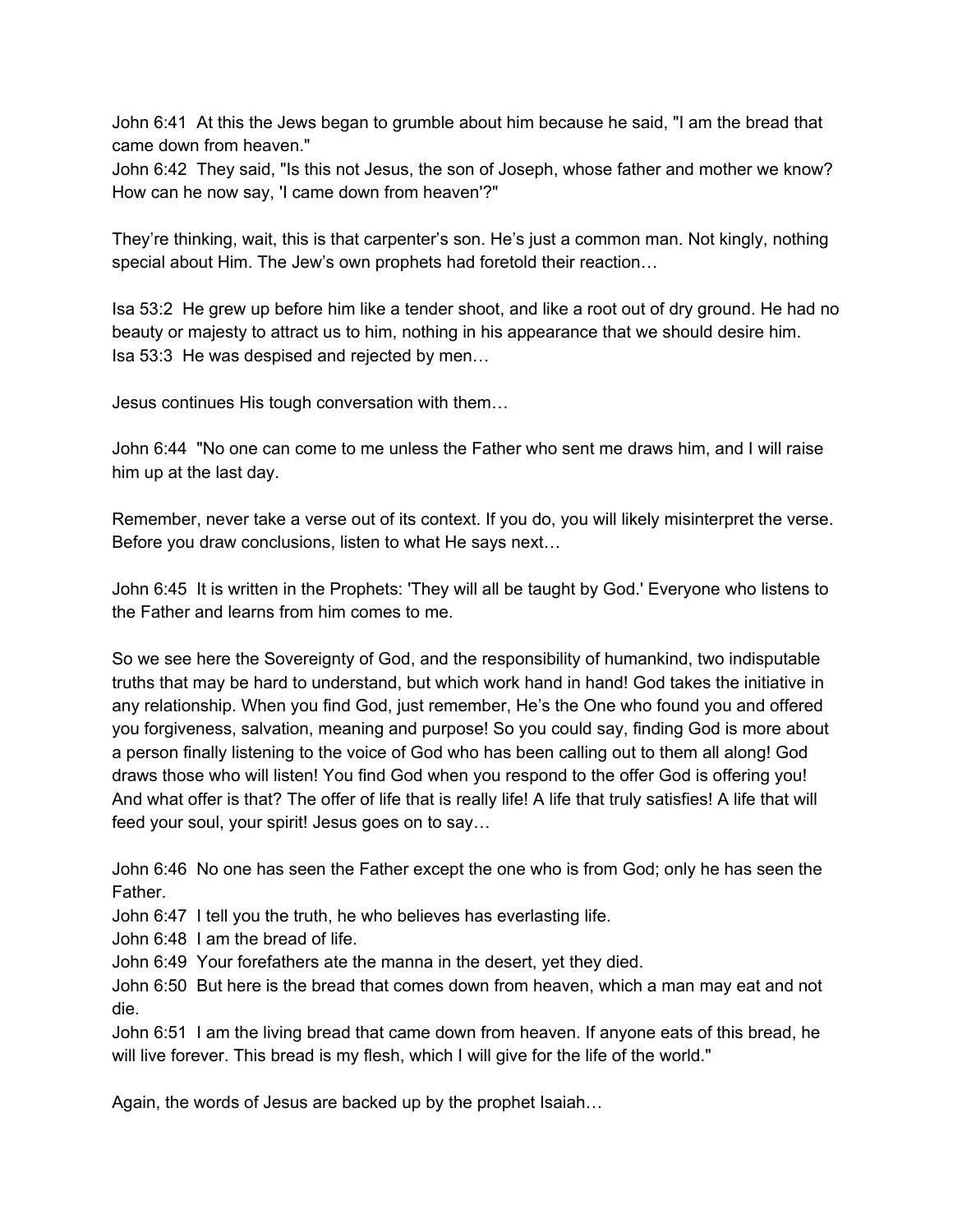John 6:41 At this the Jews began to grumble about him because he said, "I am the bread that came down from heaven."

John 6:42 They said, "Is this not Jesus, the son of Joseph, whose father and mother we know? How can he now say, 'I came down from heaven'?"

They're thinking, wait, this is that carpenter's son. He's just a common man. Not kingly, nothing special about Him. The Jew's own prophets had foretold their reaction…

Isa 53:2 He grew up before him like a tender shoot, and like a root out of dry ground. He had no beauty or majesty to attract us to him, nothing in his appearance that we should desire him. Isa 53:3 He was despised and rejected by men…

Jesus continues His tough conversation with them…

John 6:44 "No one can come to me unless the Father who sent me draws him, and I will raise him up at the last day.

Remember, never take a verse out of its context. If you do, you will likely misinterpret the verse. Before you draw conclusions, listen to what He says next…

John 6:45 It is written in the Prophets: 'They will all be taught by God.' Everyone who listens to the Father and learns from him comes to me.

So we see here the Sovereignty of God, and the responsibility of humankind, two indisputable truths that may be hard to understand, but which work hand in hand! God takes the initiative in any relationship. When you find God, just remember, He's the One who found you and offered you forgiveness, salvation, meaning and purpose! So you could say, finding God is more about a person finally listening to the voice of God who has been calling out to them all along! God draws those who will listen! You find God when you respond to the offer God is offering you! And what offer is that? The offer of life that is really life! A life that truly satisfies! A life that will feed your soul, your spirit! Jesus goes on to say…

John 6:46 No one has seen the Father except the one who is from God; only he has seen the Father.

John 6:47 I tell you the truth, he who believes has everlasting life.

John 6:48 I am the bread of life.

John 6:49 Your forefathers ate the manna in the desert, yet they died.

John 6:50 But here is the bread that comes down from heaven, which a man may eat and not die.

John 6:51 I am the living bread that came down from heaven. If anyone eats of this bread, he will live forever. This bread is my flesh, which I will give for the life of the world."

Again, the words of Jesus are backed up by the prophet Isaiah…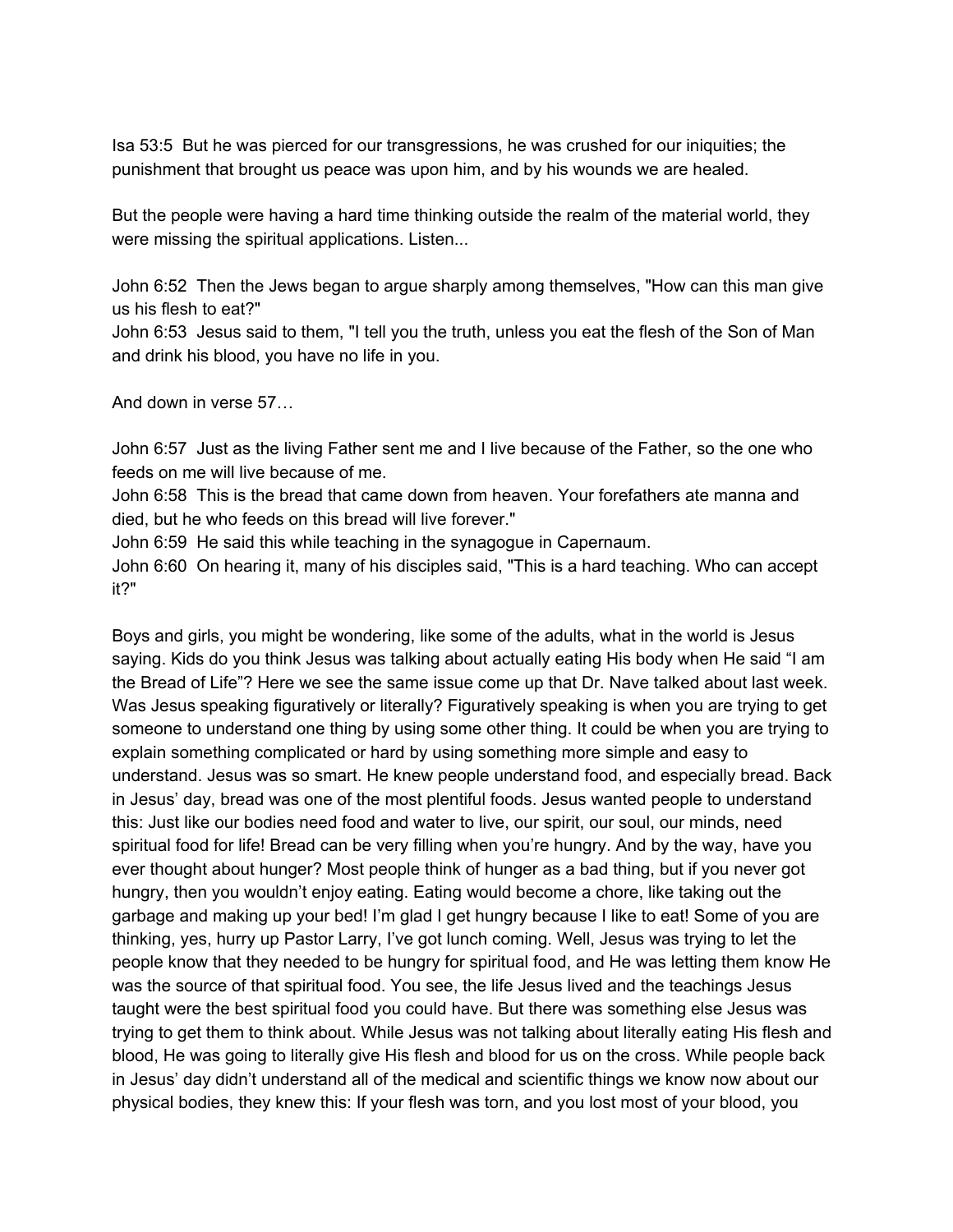Isa 53:5 But he was pierced for our transgressions, he was crushed for our iniquities; the punishment that brought us peace was upon him, and by his wounds we are healed.

But the people were having a hard time thinking outside the realm of the material world, they were missing the spiritual applications. Listen...

John 6:52 Then the Jews began to argue sharply among themselves, "How can this man give us his flesh to eat?"

John 6:53 Jesus said to them, "I tell you the truth, unless you eat the flesh of the Son of Man and drink his blood, you have no life in you.

And down in verse 57…

John 6:57 Just as the living Father sent me and I live because of the Father, so the one who feeds on me will live because of me.

John 6:58 This is the bread that came down from heaven. Your forefathers ate manna and died, but he who feeds on this bread will live forever."

John 6:59 He said this while teaching in the synagogue in Capernaum.

John 6:60 On hearing it, many of his disciples said, "This is a hard teaching. Who can accept it?"

Boys and girls, you might be wondering, like some of the adults, what in the world is Jesus saying. Kids do you think Jesus was talking about actually eating His body when He said "I am the Bread of Life"? Here we see the same issue come up that Dr. Nave talked about last week. Was Jesus speaking figuratively or literally? Figuratively speaking is when you are trying to get someone to understand one thing by using some other thing. It could be when you are trying to explain something complicated or hard by using something more simple and easy to understand. Jesus was so smart. He knew people understand food, and especially bread. Back in Jesus' day, bread was one of the most plentiful foods. Jesus wanted people to understand this: Just like our bodies need food and water to live, our spirit, our soul, our minds, need spiritual food for life! Bread can be very filling when you're hungry. And by the way, have you ever thought about hunger? Most people think of hunger as a bad thing, but if you never got hungry, then you wouldn't enjoy eating. Eating would become a chore, like taking out the garbage and making up your bed! I'm glad I get hungry because I like to eat! Some of you are thinking, yes, hurry up Pastor Larry, I've got lunch coming. Well, Jesus was trying to let the people know that they needed to be hungry for spiritual food, and He was letting them know He was the source of that spiritual food. You see, the life Jesus lived and the teachings Jesus taught were the best spiritual food you could have. But there was something else Jesus was trying to get them to think about. While Jesus was not talking about literally eating His flesh and blood, He was going to literally give His flesh and blood for us on the cross. While people back in Jesus' day didn't understand all of the medical and scientific things we know now about our physical bodies, they knew this: If your flesh was torn, and you lost most of your blood, you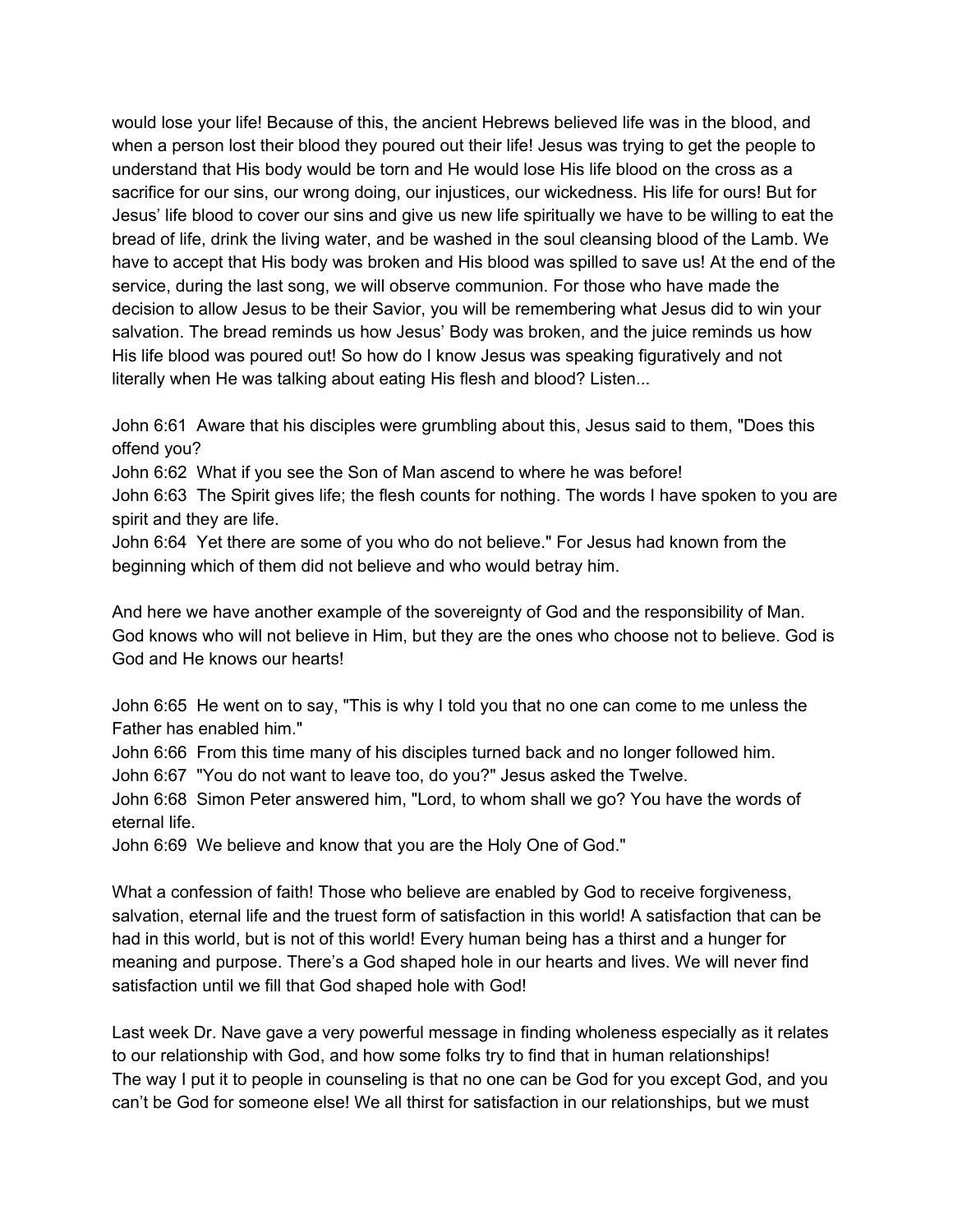would lose your life! Because of this, the ancient Hebrews believed life was in the blood, and when a person lost their blood they poured out their life! Jesus was trying to get the people to understand that His body would be torn and He would lose His life blood on the cross as a sacrifice for our sins, our wrong doing, our injustices, our wickedness. His life for ours! But for Jesus' life blood to cover our sins and give us new life spiritually we have to be willing to eat the bread of life, drink the living water, and be washed in the soul cleansing blood of the Lamb. We have to accept that His body was broken and His blood was spilled to save us! At the end of the service, during the last song, we will observe communion. For those who have made the decision to allow Jesus to be their Savior, you will be remembering what Jesus did to win your salvation. The bread reminds us how Jesus' Body was broken, and the juice reminds us how His life blood was poured out! So how do I know Jesus was speaking figuratively and not literally when He was talking about eating His flesh and blood? Listen...

John 6:61 Aware that his disciples were grumbling about this, Jesus said to them, "Does this offend you?

John 6:62 What if you see the Son of Man ascend to where he was before!

John 6:63 The Spirit gives life; the flesh counts for nothing. The words I have spoken to you are spirit and they are life.

John 6:64 Yet there are some of you who do not believe." For Jesus had known from the beginning which of them did not believe and who would betray him.

And here we have another example of the sovereignty of God and the responsibility of Man. God knows who will not believe in Him, but they are the ones who choose not to believe. God is God and He knows our hearts!

John 6:65 He went on to say, "This is why I told you that no one can come to me unless the Father has enabled him."

John 6:66 From this time many of his disciples turned back and no longer followed him.

John 6:67 "You do not want to leave too, do you?" Jesus asked the Twelve.

John 6:68 Simon Peter answered him, "Lord, to whom shall we go? You have the words of eternal life.

John 6:69 We believe and know that you are the Holy One of God."

What a confession of faith! Those who believe are enabled by God to receive forgiveness, salvation, eternal life and the truest form of satisfaction in this world! A satisfaction that can be had in this world, but is not of this world! Every human being has a thirst and a hunger for meaning and purpose. There's a God shaped hole in our hearts and lives. We will never find satisfaction until we fill that God shaped hole with God!

Last week Dr. Nave gave a very powerful message in finding wholeness especially as it relates to our relationship with God, and how some folks try to find that in human relationships! The way I put it to people in counseling is that no one can be God for you except God, and you can't be God for someone else! We all thirst for satisfaction in our relationships, but we must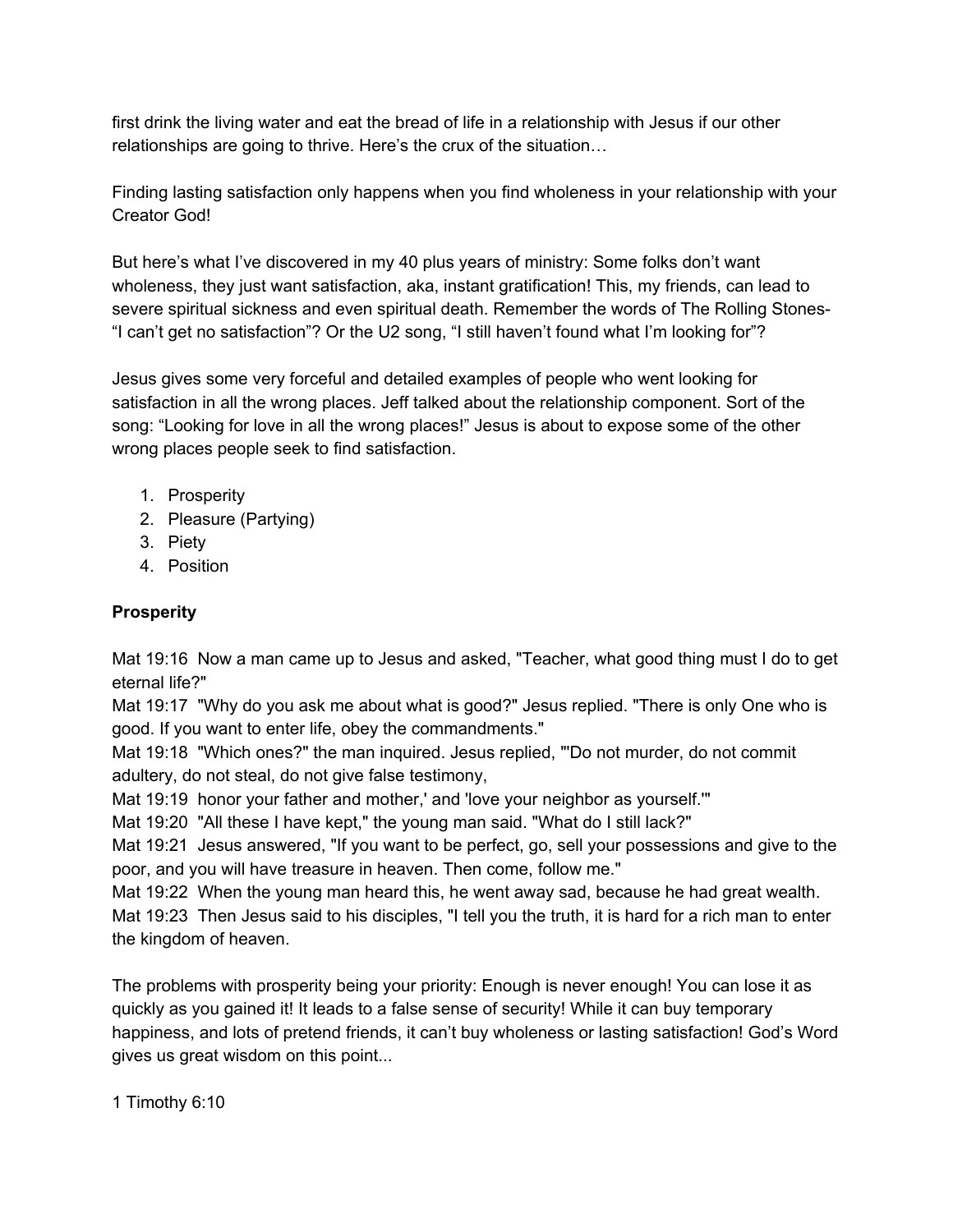first drink the living water and eat the bread of life in a relationship with Jesus if our other relationships are going to thrive. Here's the crux of the situation…

Finding lasting satisfaction only happens when you find wholeness in your relationship with your Creator God!

But here's what I've discovered in my 40 plus years of ministry: Some folks don't want wholeness, they just want satisfaction, aka, instant gratification! This, my friends, can lead to severe spiritual sickness and even spiritual death. Remember the words of The Rolling Stones- "I can't get no satisfaction"? Or the U2 song, "I still haven't found what I'm looking for"?

Jesus gives some very forceful and detailed examples of people who went looking for satisfaction in all the wrong places. Jeff talked about the relationship component. Sort of the song: "Looking for love in all the wrong places!" Jesus is about to expose some of the other wrong places people seek to find satisfaction.

- 1. Prosperity
- 2. Pleasure (Partying)
- 3. Piety
- 4. Position

## **Prosperity**

Mat 19:16 Now a man came up to Jesus and asked, "Teacher, what good thing must I do to get eternal life?"

Mat 19:17 "Why do you ask me about what is good?" Jesus replied. "There is only One who is good. If you want to enter life, obey the commandments."

Mat 19:18 "Which ones?" the man inquired. Jesus replied, "'Do not murder, do not commit adultery, do not steal, do not give false testimony,

Mat 19:19 honor your father and mother,' and 'love your neighbor as yourself.'"

Mat 19:20 "All these I have kept," the young man said. "What do I still lack?"

Mat 19:21 Jesus answered, "If you want to be perfect, go, sell your possessions and give to the poor, and you will have treasure in heaven. Then come, follow me."

Mat 19:22 When the young man heard this, he went away sad, because he had great wealth. Mat 19:23 Then Jesus said to his disciples, "I tell you the truth, it is hard for a rich man to enter the kingdom of heaven.

The problems with prosperity being your priority: Enough is never enough! You can lose it as quickly as you gained it! It leads to a false sense of security! While it can buy temporary happiness, and lots of pretend friends, it can't buy wholeness or lasting satisfaction! God's Word gives us great wisdom on this point...

1 Timothy 6:10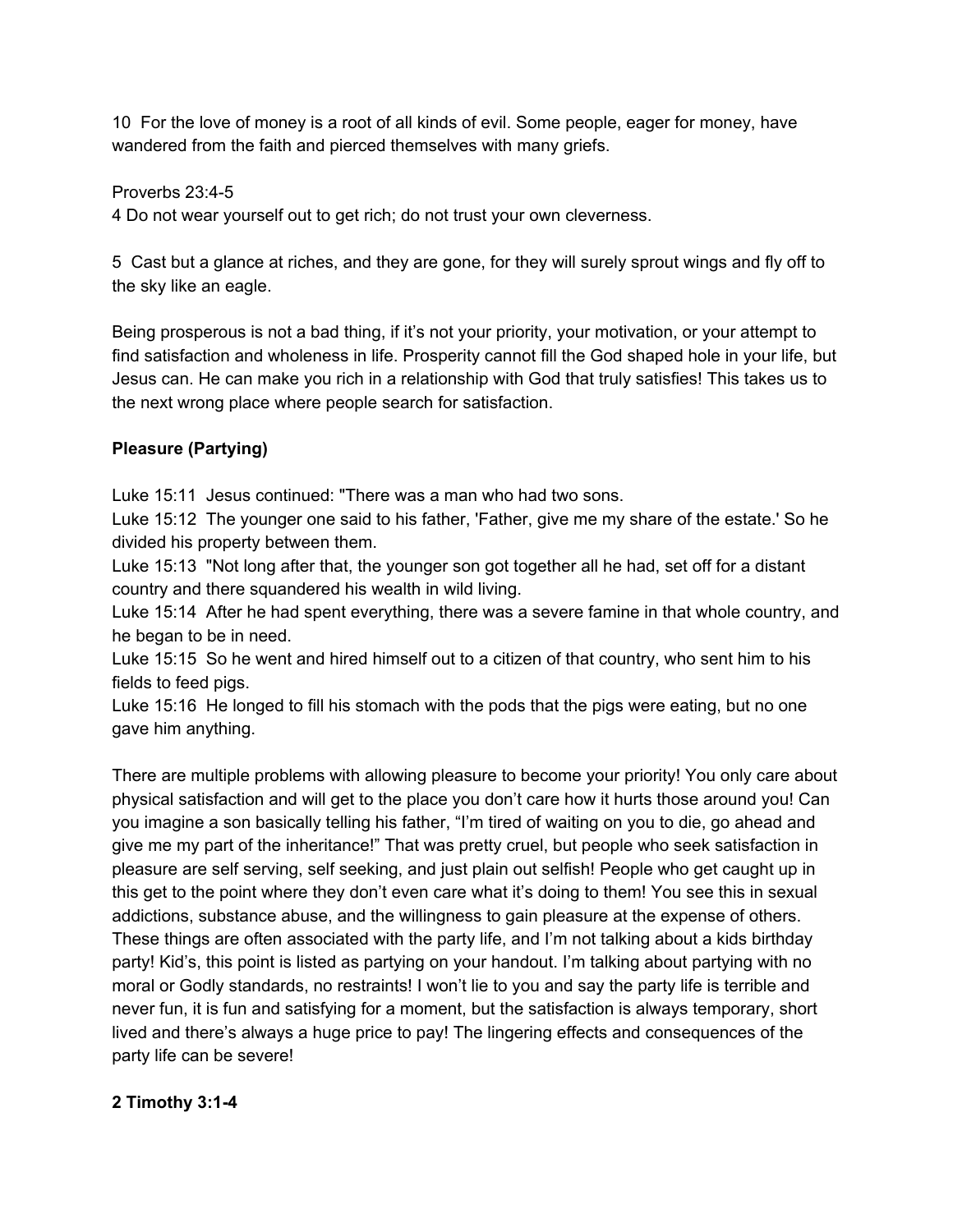10 For the love of money is a root of all kinds of evil. Some people, eager for money, have wandered from the faith and pierced themselves with many griefs.

Proverbs 23:4-5

4 Do not wear yourself out to get rich; do not trust your own cleverness.

5 Cast but a glance at riches, and they are gone, for they will surely sprout wings and fly off to the sky like an eagle.

Being prosperous is not a bad thing, if it's not your priority, your motivation, or your attempt to find satisfaction and wholeness in life. Prosperity cannot fill the God shaped hole in your life, but Jesus can. He can make you rich in a relationship with God that truly satisfies! This takes us to the next wrong place where people search for satisfaction.

# **Pleasure (Partying)**

Luke 15:11 Jesus continued: "There was a man who had two sons.

Luke 15:12 The younger one said to his father, 'Father, give me my share of the estate.' So he divided his property between them.

Luke 15:13 "Not long after that, the younger son got together all he had, set off for a distant country and there squandered his wealth in wild living.

Luke 15:14 After he had spent everything, there was a severe famine in that whole country, and he began to be in need.

Luke 15:15 So he went and hired himself out to a citizen of that country, who sent him to his fields to feed pigs.

Luke 15:16 He longed to fill his stomach with the pods that the pigs were eating, but no one gave him anything.

There are multiple problems with allowing pleasure to become your priority! You only care about physical satisfaction and will get to the place you don't care how it hurts those around you! Can you imagine a son basically telling his father, "I'm tired of waiting on you to die, go ahead and give me my part of the inheritance!" That was pretty cruel, but people who seek satisfaction in pleasure are self serving, self seeking, and just plain out selfish! People who get caught up in this get to the point where they don't even care what it's doing to them! You see this in sexual addictions, substance abuse, and the willingness to gain pleasure at the expense of others. These things are often associated with the party life, and I'm not talking about a kids birthday party! Kid's, this point is listed as partying on your handout. I'm talking about partying with no moral or Godly standards, no restraints! I won't lie to you and say the party life is terrible and never fun, it is fun and satisfying for a moment, but the satisfaction is always temporary, short lived and there's always a huge price to pay! The lingering effects and consequences of the party life can be severe!

### **2 Timothy 3:1-4**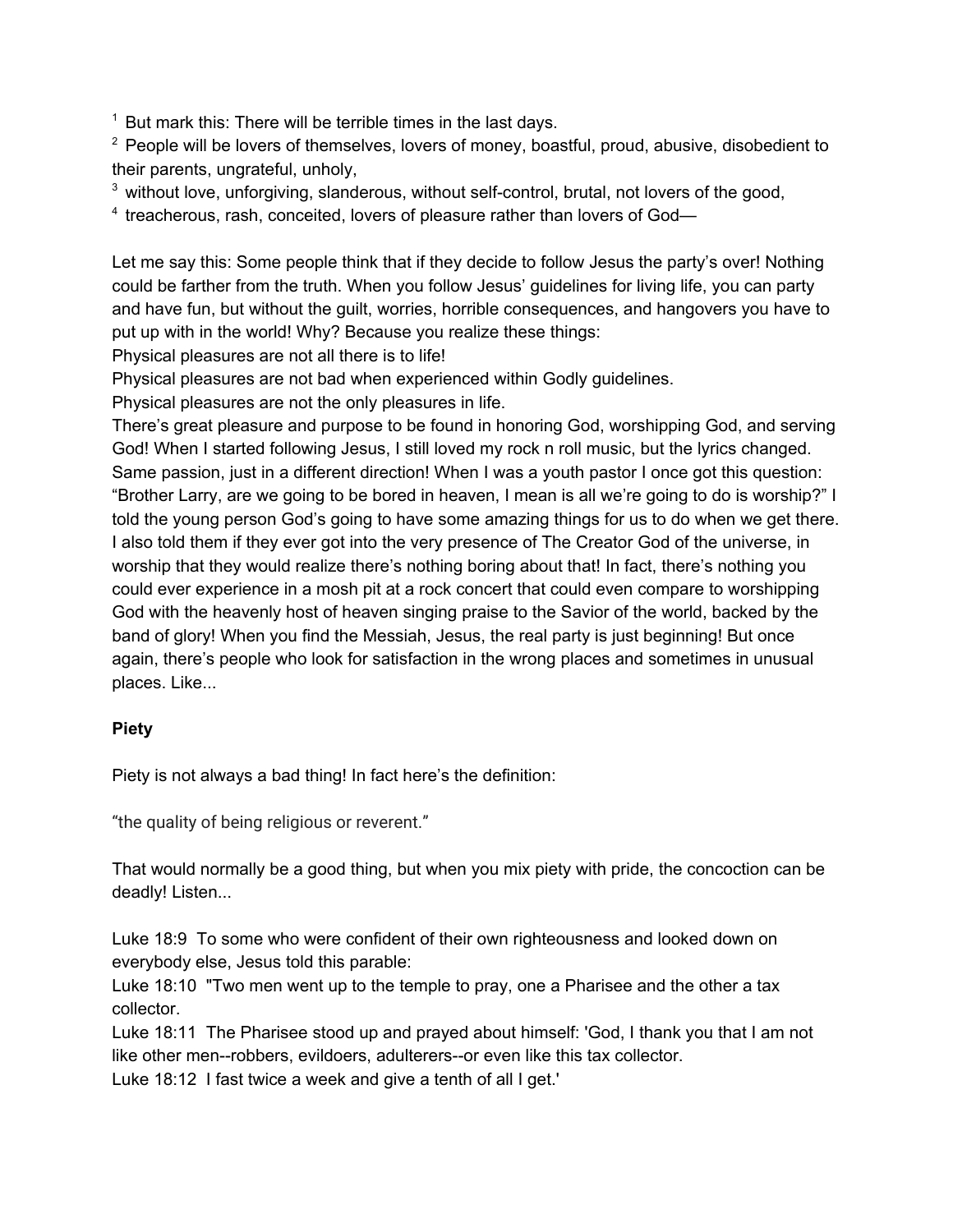$1$  But mark this: There will be terrible times in the last days.

 $2$  People will be lovers of themselves, lovers of money, boastful, proud, abusive, disobedient to their parents, ungrateful, unholy,

<sup>3</sup> without love, unforgiving, slanderous, without self-control, brutal, not lovers of the good,

<sup>4</sup> treacherous, rash, conceited, lovers of pleasure rather than lovers of God-

Let me say this: Some people think that if they decide to follow Jesus the party's over! Nothing could be farther from the truth. When you follow Jesus' guidelines for living life, you can party and have fun, but without the guilt, worries, horrible consequences, and hangovers you have to put up with in the world! Why? Because you realize these things:

Physical pleasures are not all there is to life!

Physical pleasures are not bad when experienced within Godly guidelines.

Physical pleasures are not the only pleasures in life.

There's great pleasure and purpose to be found in honoring God, worshipping God, and serving God! When I started following Jesus, I still loved my rock n roll music, but the lyrics changed. Same passion, just in a different direction! When I was a youth pastor I once got this question: "Brother Larry, are we going to be bored in heaven, I mean is all we're going to do is worship?" I told the young person God's going to have some amazing things for us to do when we get there. I also told them if they ever got into the very presence of The Creator God of the universe, in worship that they would realize there's nothing boring about that! In fact, there's nothing you could ever experience in a mosh pit at a rock concert that could even compare to worshipping God with the heavenly host of heaven singing praise to the Savior of the world, backed by the band of glory! When you find the Messiah, Jesus, the real party is just beginning! But once again, there's people who look for satisfaction in the wrong places and sometimes in unusual places. Like...

### **Piety**

Piety is not always a bad thing! In fact here's the definition:

"the quality of being religious or reverent."

That would normally be a good thing, but when you mix piety with pride, the concoction can be deadly! Listen...

Luke 18:9 To some who were confident of their own righteousness and looked down on everybody else, Jesus told this parable:

Luke 18:10 "Two men went up to the temple to pray, one a Pharisee and the other a tax collector.

Luke 18:11 The Pharisee stood up and prayed about himself: 'God, I thank you that I am not like other men--robbers, evildoers, adulterers--or even like this tax collector.

Luke 18:12 I fast twice a week and give a tenth of all I get.'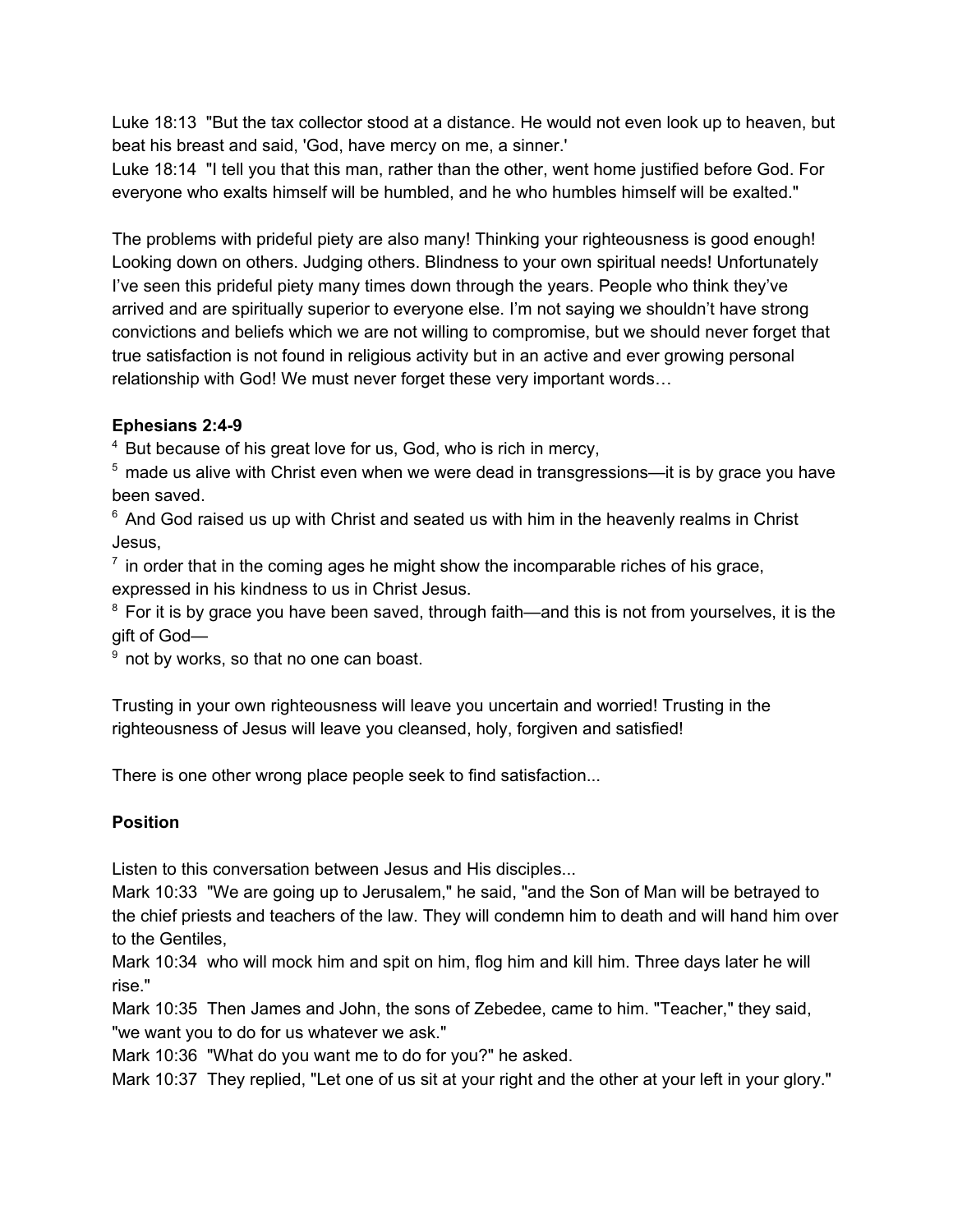Luke 18:13 "But the tax collector stood at a distance. He would not even look up to heaven, but beat his breast and said, 'God, have mercy on me, a sinner.'

Luke 18:14 "I tell you that this man, rather than the other, went home justified before God. For everyone who exalts himself will be humbled, and he who humbles himself will be exalted."

The problems with prideful piety are also many! Thinking your righteousness is good enough! Looking down on others. Judging others. Blindness to your own spiritual needs! Unfortunately I've seen this prideful piety many times down through the years. People who think they've arrived and are spiritually superior to everyone else. I'm not saying we shouldn't have strong convictions and beliefs which we are not willing to compromise, but we should never forget that true satisfaction is not found in religious activity but in an active and ever growing personal relationship with God! We must never forget these very important words…

#### **Ephesians 2:4-9**

<sup>4</sup> But because of his great love for us, God, who is rich in mercy,

 $5$  made us alive with Christ even when we were dead in transgressions—it is by grace you have been saved.

 $6$  And God raised us up with Christ and seated us with him in the heavenly realms in Christ Jesus,

 $<sup>7</sup>$  in order that in the coming ages he might show the incomparable riches of his grace,</sup> expressed in his kindness to us in Christ Jesus.

 $8$  For it is by grace you have been saved, through faith—and this is not from yourselves, it is the gift of God—

 $9$  not by works, so that no one can boast.

Trusting in your own righteousness will leave you uncertain and worried! Trusting in the righteousness of Jesus will leave you cleansed, holy, forgiven and satisfied!

There is one other wrong place people seek to find satisfaction...

### **Position**

Listen to this conversation between Jesus and His disciples...

Mark 10:33 "We are going up to Jerusalem," he said, "and the Son of Man will be betrayed to the chief priests and teachers of the law. They will condemn him to death and will hand him over to the Gentiles,

Mark 10:34 who will mock him and spit on him, flog him and kill him. Three days later he will rise."

Mark 10:35 Then James and John, the sons of Zebedee, came to him. "Teacher," they said, "we want you to do for us whatever we ask."

Mark 10:36 "What do you want me to do for you?" he asked.

Mark 10:37 They replied, "Let one of us sit at your right and the other at your left in your glory."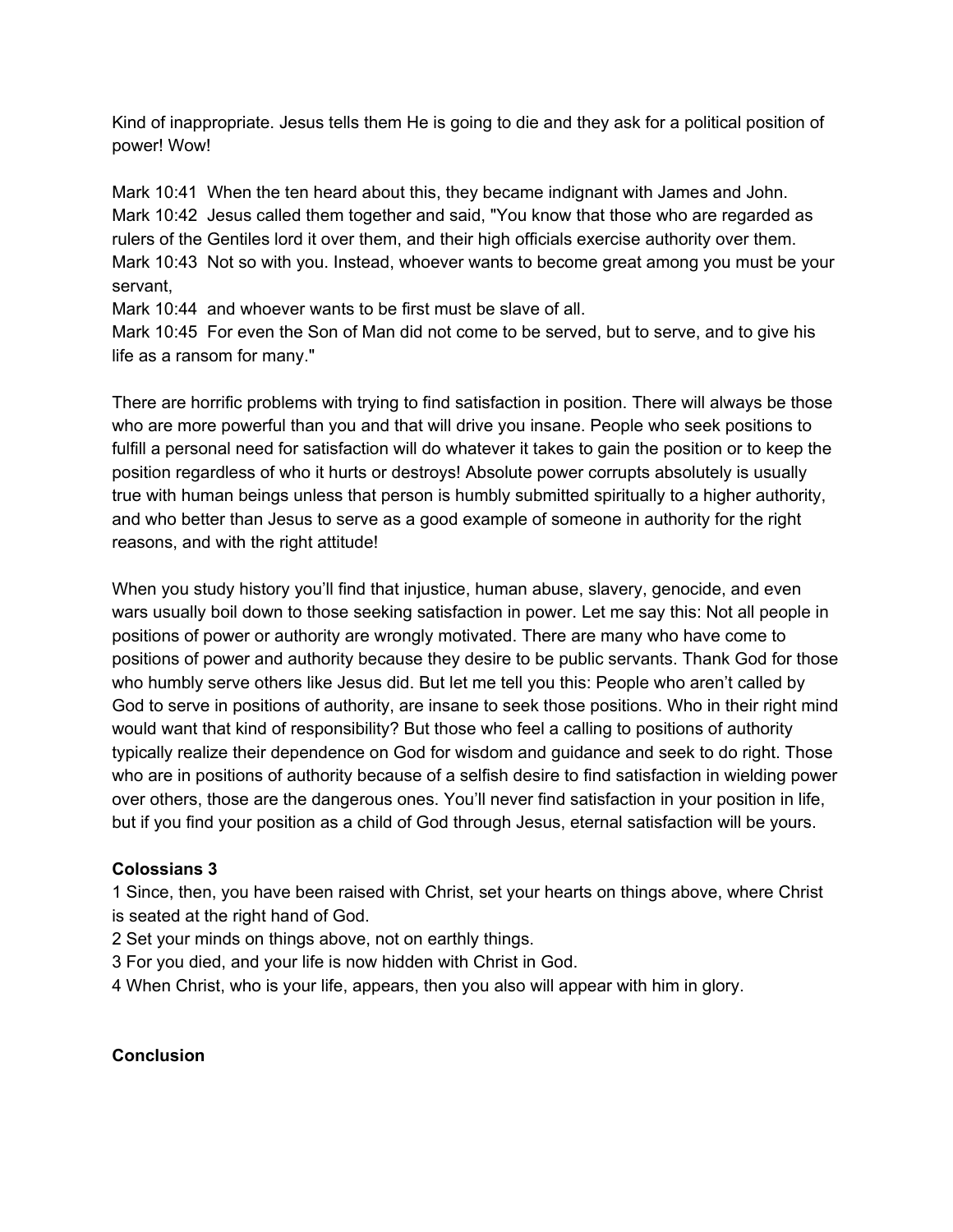Kind of inappropriate. Jesus tells them He is going to die and they ask for a political position of power! Wow!

Mark 10:41 When the ten heard about this, they became indignant with James and John. Mark 10:42 Jesus called them together and said, "You know that those who are regarded as rulers of the Gentiles lord it over them, and their high officials exercise authority over them. Mark 10:43 Not so with you. Instead, whoever wants to become great among you must be your servant,

Mark 10:44 and whoever wants to be first must be slave of all.

Mark 10:45 For even the Son of Man did not come to be served, but to serve, and to give his life as a ransom for many."

There are horrific problems with trying to find satisfaction in position. There will always be those who are more powerful than you and that will drive you insane. People who seek positions to fulfill a personal need for satisfaction will do whatever it takes to gain the position or to keep the position regardless of who it hurts or destroys! Absolute power corrupts absolutely is usually true with human beings unless that person is humbly submitted spiritually to a higher authority, and who better than Jesus to serve as a good example of someone in authority for the right reasons, and with the right attitude!

When you study history you'll find that injustice, human abuse, slavery, genocide, and even wars usually boil down to those seeking satisfaction in power. Let me say this: Not all people in positions of power or authority are wrongly motivated. There are many who have come to positions of power and authority because they desire to be public servants. Thank God for those who humbly serve others like Jesus did. But let me tell you this: People who aren't called by God to serve in positions of authority, are insane to seek those positions. Who in their right mind would want that kind of responsibility? But those who feel a calling to positions of authority typically realize their dependence on God for wisdom and guidance and seek to do right. Those who are in positions of authority because of a selfish desire to find satisfaction in wielding power over others, those are the dangerous ones. You'll never find satisfaction in your position in life, but if you find your position as a child of God through Jesus, eternal satisfaction will be yours.

### **Colossians 3**

1 Since, then, you have been raised with Christ, set your hearts on things above, where Christ is seated at the right hand of God.

2 Set your minds on things above, not on earthly things.

3 For you died, and your life is now hidden with Christ in God.

4 When Christ, who is your life, appears, then you also will appear with him in glory.

# **Conclusion**